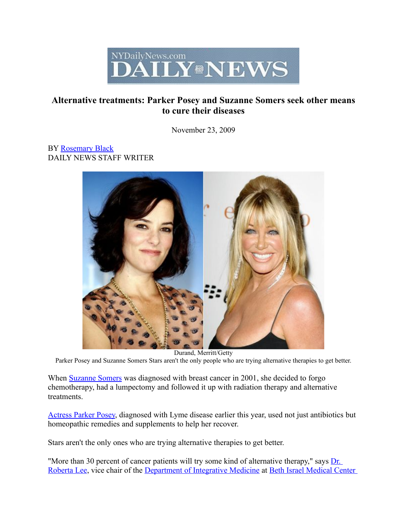

## Alternative treatments: Parker Posey and Suzanne Somers seek other means to cure their diseases

November 23, 2009

## BY [Rosemary](http://www.nydailynews.com/authors/Rosemary%20Black) Black DAILY NEWS STAFF WRITER



Durand, Merritt/Getty Parker Posey and Suzanne Somers Stars aren't the only people who are trying alternative therapies to get better.

When [Suzanne](http://www.nydailynews.com/topics/Suzanne+Somers) Somers was diagnosed with breast cancer in 2001, she decided to forgo chemotherapy, had a lumpectomy and followed it up with radiation therapy and alternative treatments.

[Actress](http://www.nydailynews.com/topics/Parker+Posey) Parker Posey, diagnosed with Lyme disease earlier this year, used not just antibiotics but homeopathic remedies and supplements to help her recover.

Stars aren't the only ones who are trying alternative therapies to get better.

"More than 30 percent of cancer patients will try some kind of alternative therapy," says [Dr.](http://www.nydailynews.com/topics/Roberta+Lee) [Roberta](http://www.nydailynews.com/topics/Roberta+Lee) Lee, vice chair of the [Department](http://www.nydailynews.com/topics/Department+of+Integrative+Medicine) of Integrative Medicine at Beth Israel [Medical](http://www.nydailynews.com/topics/Beth+Israel+Medical+Center) Center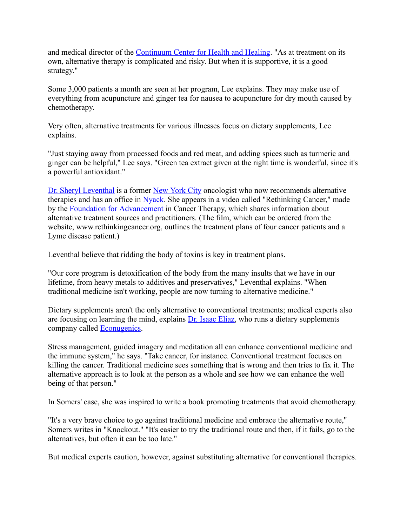and medical director of the [Continuum](http://www.nydailynews.com/topics/Continuum+Center+for+Health+and+Healing) Center for Health and Healing. "As at treatment on its own, alternative therapy is complicated and risky. But when it is supportive, it is a good strategy."

Some 3,000 patients a month are seen at her program, Lee explains. They may make use of everything from acupuncture and ginger tea for nausea to acupuncture for dry mouth caused by chemotherapy.

Very often, alternative treatments for various illnesses focus on dietary supplements, Lee explains.

"Just staying away from processed foods and red meat, and adding spices such as turmeric and ginger can be helpful," Lee says. "Green tea extract given at the right time is wonderful, since it's a powerful antioxidant."

Dr. Sheryl [Leventhal](http://www.nydailynews.com/topics/Sheryl+Leventhal) is a former New [York](http://www.nydailynews.com/topics/New+York+City) City oncologist who now recommends alternative therapies and has an office in [Nyack.](http://www.nydailynews.com/topics/Nyack) She appears in a video called "Rethinking Cancer," made by the Foundation for [Advancement](http://www.nydailynews.com/topics/Foundation+for+Advancement) in Cancer Therapy, which shares information about alternative treatment sources and practitioners. (The film, which can be ordered from the website, www.rethinkingcancer.org, outlines the treatment plans of four cancer patients and a Lyme disease patient.)

Leventhal believe that ridding the body of toxins is key in treatment plans.

"Our core program is detoxification of the body from the many insults that we have in our lifetime, from heavy metals to additives and preservatives," Leventhal explains. "When traditional medicine isn't working, people are now turning to alternative medicine."

Dietary supplements aren't the only alternative to conventional treatments; medical experts also are focusing on learning the mind, explains Dr. Isaac [Eliaz,](http://www.nydailynews.com/topics/Isaac+Eliaz) who runs a dietary supplements company called [Econugenics.](http://www.nydailynews.com/topics/EcoNugenics+Inc.)

Stress management, guided imagery and meditation all can enhance conventional medicine and the immune system," he says. "Take cancer, for instance. Conventional treatment focuses on killing the cancer. Traditional medicine sees something that is wrong and then tries to fix it. The alternative approach is to look at the person as a whole and see how we can enhance the well being of that person."

In Somers' case, she was inspired to write a book promoting treatments that avoid chemotherapy.

"It's a very brave choice to go against traditional medicine and embrace the alternative route," Somers writes in "Knockout." "It's easier to try the traditional route and then, if it fails, go to the alternatives, but often it can be too late."

But medical experts caution, however, against substituting alternative for conventional therapies.